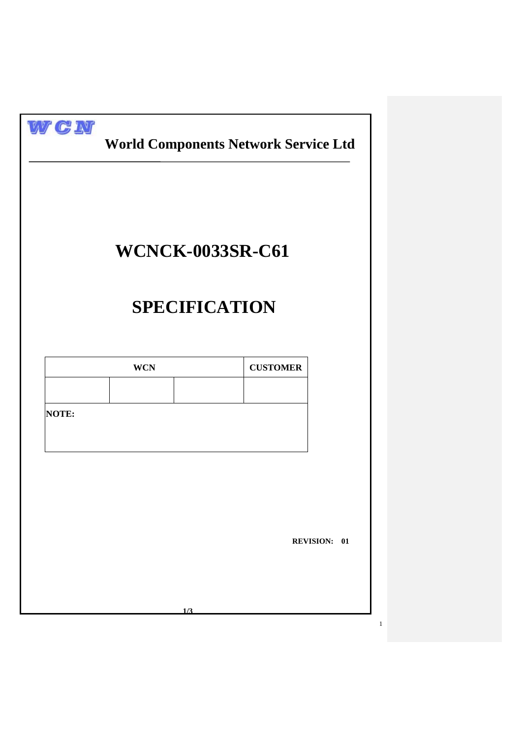|       |            | <b>WCNCK-0033SR-C61</b> |                     |
|-------|------------|-------------------------|---------------------|
|       |            | <b>SPECIFICATION</b>    |                     |
|       | <b>WCN</b> | <b>CUSTOMER</b>         |                     |
| NOTE: |            |                         |                     |
|       |            |                         |                     |
|       |            |                         | <b>REVISION: 01</b> |
|       |            |                         |                     |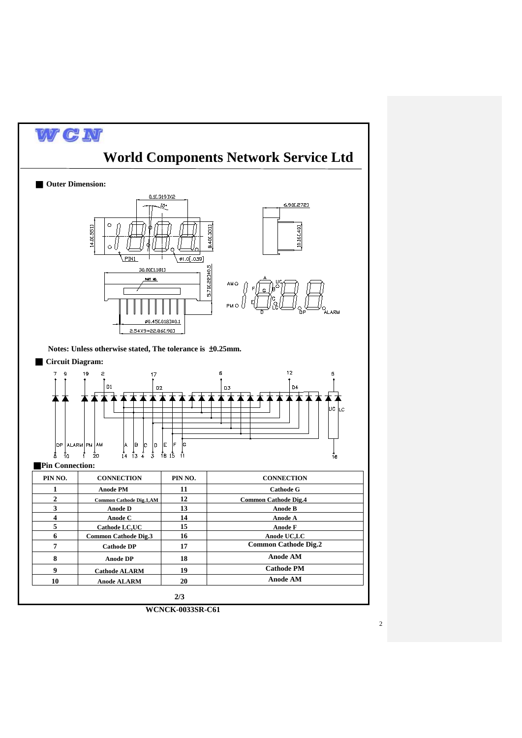

**WCNCK-0033SR-C61**